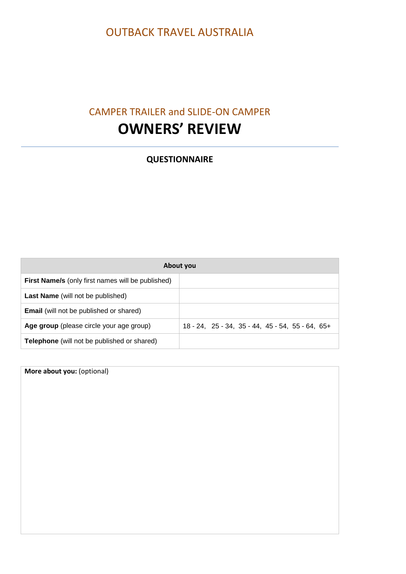## OUTBACK TRAVEL AUSTRALIA

## CAMPER TRAILER and SLIDE-ON CAMPER **OWNERS' REVIEW**

## **QUESTIONNAIRE**

| About you                                                |                                                                    |  |  |  |  |  |  |
|----------------------------------------------------------|--------------------------------------------------------------------|--|--|--|--|--|--|
| <b>First Name/s</b> (only first names will be published) |                                                                    |  |  |  |  |  |  |
| <b>Last Name</b> (will not be published)                 |                                                                    |  |  |  |  |  |  |
| <b>Email</b> (will not be published or shared)           |                                                                    |  |  |  |  |  |  |
| Age group (please circle your age group)                 | $18 - 24$ , $25 - 34$ , $35 - 44$ , $45 - 54$ , $55 - 64$ , $65 +$ |  |  |  |  |  |  |
| <b>Telephone</b> (will not be published or shared)       |                                                                    |  |  |  |  |  |  |

**More about you:** (optional)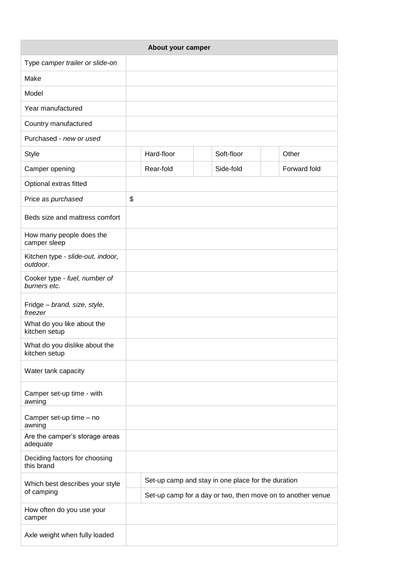| About your camper                              |                                                    |                                                             |  |            |              |  |  |  |
|------------------------------------------------|----------------------------------------------------|-------------------------------------------------------------|--|------------|--------------|--|--|--|
| Type camper trailer or slide-on                |                                                    |                                                             |  |            |              |  |  |  |
| Make                                           |                                                    |                                                             |  |            |              |  |  |  |
| Model                                          |                                                    |                                                             |  |            |              |  |  |  |
| Year manufactured                              |                                                    |                                                             |  |            |              |  |  |  |
| Country manufactured                           |                                                    |                                                             |  |            |              |  |  |  |
| Purchased - new or used                        |                                                    |                                                             |  |            |              |  |  |  |
| <b>Style</b>                                   |                                                    | Hard-floor                                                  |  | Soft-floor | Other        |  |  |  |
| Camper opening                                 |                                                    | Rear-fold                                                   |  | Side-fold  | Forward fold |  |  |  |
| Optional extras fitted                         |                                                    |                                                             |  |            |              |  |  |  |
| Price as purchased                             | \$                                                 |                                                             |  |            |              |  |  |  |
| Beds size and mattress comfort                 |                                                    |                                                             |  |            |              |  |  |  |
| How many people does the<br>camper sleep       |                                                    |                                                             |  |            |              |  |  |  |
| Kitchen type - slide-out, indoor,<br>outdoor.  |                                                    |                                                             |  |            |              |  |  |  |
| Cooker type - fuel, number of<br>burners etc.  |                                                    |                                                             |  |            |              |  |  |  |
| Fridge - brand, size, style,<br>freezer        |                                                    |                                                             |  |            |              |  |  |  |
| What do you like about the<br>kitchen setup    |                                                    |                                                             |  |            |              |  |  |  |
| What do you dislike about the<br>kitchen setup |                                                    |                                                             |  |            |              |  |  |  |
| Water tank capacity                            |                                                    |                                                             |  |            |              |  |  |  |
| Camper set-up time - with<br>awning            |                                                    |                                                             |  |            |              |  |  |  |
| Camper set-up time - no<br>awning              |                                                    |                                                             |  |            |              |  |  |  |
| Are the camper's storage areas<br>adequate     |                                                    |                                                             |  |            |              |  |  |  |
| Deciding factors for choosing<br>this brand    |                                                    |                                                             |  |            |              |  |  |  |
| Which best describes your style<br>of camping  | Set-up camp and stay in one place for the duration |                                                             |  |            |              |  |  |  |
|                                                |                                                    | Set-up camp for a day or two, then move on to another venue |  |            |              |  |  |  |
| How often do you use your<br>camper            |                                                    |                                                             |  |            |              |  |  |  |
| Axle weight when fully loaded                  |                                                    |                                                             |  |            |              |  |  |  |